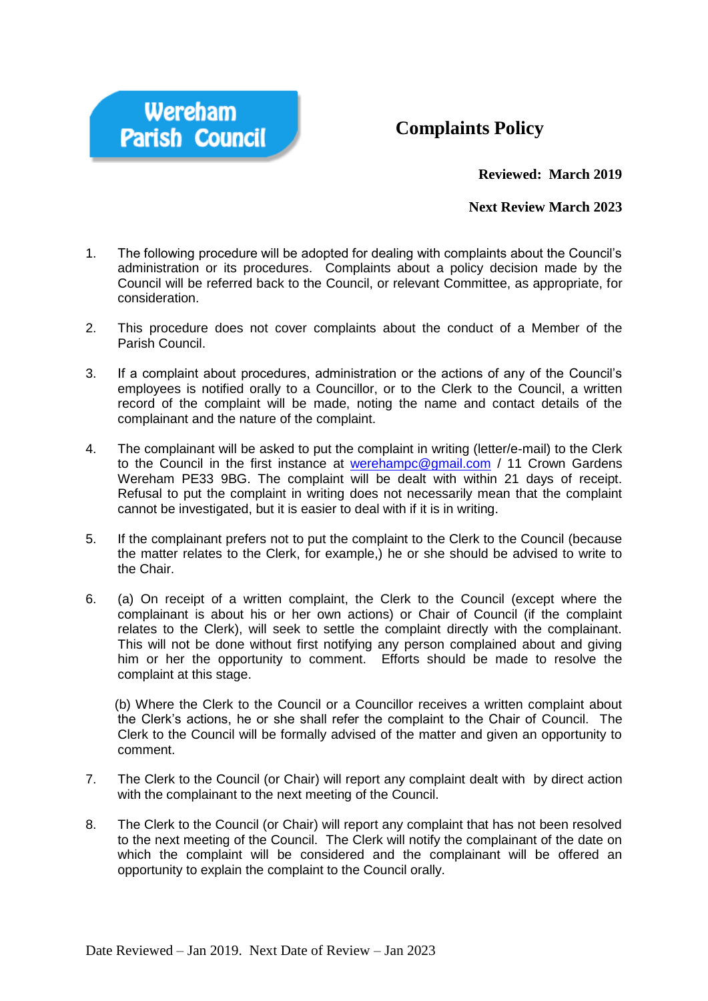

## **Complaints Policy**

**Reviewed: March 2019**

## **Next Review March 2023**

- 1. The following procedure will be adopted for dealing with complaints about the Council's administration or its procedures. Complaints about a policy decision made by the Council will be referred back to the Council, or relevant Committee, as appropriate, for consideration.
- 2. This procedure does not cover complaints about the conduct of a Member of the Parish Council.
- 3. If a complaint about procedures, administration or the actions of any of the Council's employees is notified orally to a Councillor, or to the Clerk to the Council, a written record of the complaint will be made, noting the name and contact details of the complainant and the nature of the complaint.
- 4. The complainant will be asked to put the complaint in writing (letter/e-mail) to the Clerk to the Council in the first instance at [werehampc@gmail.com](mailto:werehampc@gmail.com) / 11 Crown Gardens Wereham PE33 9BG. The complaint will be dealt with within 21 days of receipt. Refusal to put the complaint in writing does not necessarily mean that the complaint cannot be investigated, but it is easier to deal with if it is in writing.
- 5. If the complainant prefers not to put the complaint to the Clerk to the Council (because the matter relates to the Clerk, for example,) he or she should be advised to write to the Chair.
- 6. (a) On receipt of a written complaint, the Clerk to the Council (except where the complainant is about his or her own actions) or Chair of Council (if the complaint relates to the Clerk), will seek to settle the complaint directly with the complainant. This will not be done without first notifying any person complained about and giving him or her the opportunity to comment. Efforts should be made to resolve the complaint at this stage.

 (b) Where the Clerk to the Council or a Councillor receives a written complaint about the Clerk's actions, he or she shall refer the complaint to the Chair of Council. The Clerk to the Council will be formally advised of the matter and given an opportunity to comment.

- 7. The Clerk to the Council (or Chair) will report any complaint dealt with by direct action with the complainant to the next meeting of the Council.
- 8. The Clerk to the Council (or Chair) will report any complaint that has not been resolved to the next meeting of the Council. The Clerk will notify the complainant of the date on which the complaint will be considered and the complainant will be offered an opportunity to explain the complaint to the Council orally.